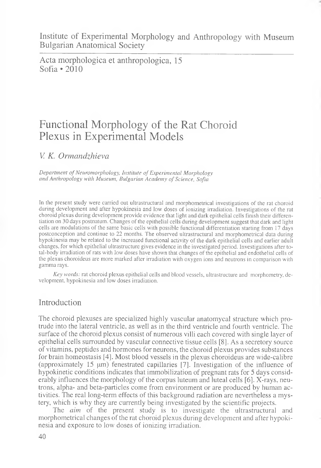Acta morphologica et anthropologica, 15 Sofia  $\bullet$  2010

# Functional Morphology of the Rat Choroid Plexus in Experimental Models

*V. K. Ormandzhievci*

*Department of Neuromorphology, Institute of Experimental Morphology and Anthropology with Museum, Bulgarian Academy of Science, Sofia*

In the present study were carried out ultrastructural and morphometrical investigations of the rat choroid during development and after hypokinesia and low doses of ionizing irradiation. Investigations of the rat choroid plexus during development provide evidence that light and dark epithelial cells finish their differentiation on 30 days postnatum. Changes of the epithelial cells during development suggest that dark and light cells are modulations of the same basic cells with possible functional differentiation starting from 17 days postconception and continue to 22 months. The observed ultrastructural and morphometrical data during hypokinesia may be related to the increased functional activity of the dark epithelial cells and earlier adult changes, for which epithelial ultrastructure gives evidence in the investigated period. Investigations after total-body irradiation of rats with low doses have shown that changes of the epithelial and endothelial cells of the plexus choroideus are more marked after irradiation with oxygen ions and neutrons in comparison with gamma rays.

*Key words:* rat choroid plexus epithelial cells and blood vessels, ultrastructure and morphometry, development, hypokinesia and low doses irradiation.

## Introduction

The choroid plexuses are specialized highly vascular anatomycal structure which protrude into the lateral ventricle, as well as in the third ventricle and fourth ventricle. The surface of the choroid plexus consist of numerous villi each covered with single layer of epithelial cells surrounded by vascular connective tissue cells [8]. As a secretory source of vitamins, peptides and hormones for neurons, the choroid plexus provides substances for brain homeostasis [4]. Most blood vessels in the plexus choroideus are wide-calibre (approximately 15  $\mu$ m) fenestrated capillaries [7]. Investigation of the influence of hypokinetic conditions indicates that immobilization of pregnant rats for 5 days considerably influences the morphology of the corpus luteum and luteal cells [6]. X-rays, neutrons, alpha- and beta-particles come from environment or are produced by human activities. The real long-term effects of this background radiation are nevertheless a mystery, which is why they are currently being investigated by the scientific projects.

The *aim* of the present study is to investigate the ultrastructural and morphometrical changes of the rat choroid plexus during development and after hypokinesia and exposure to low doses of ionizing irradiation.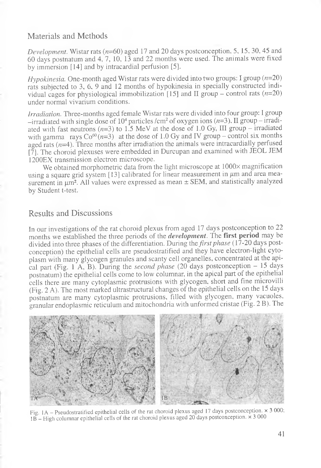### Materials and Methods

*Development.* Wistar rats  $(n=60)$  aged 17 and 20 days postconception, 5, 15, 30, 45 and 60 days postnatum and 4, 7, 10, 13 and 22 months were used. The animals were fixed by immersion [14] and by intracardial perfusion [5].

*Hypokinesia.* One-month aged Wistar rats were divided into two groups: I group  $(n=20)$ rats subjected to 3, 6, 9 and 12 months of hypokinesia in specially constructed individual cages for physiological immobilization [15] and II group – control rats  $(n=20)$ under normal vivarium conditions.

*Irradiation.* Three-months aged female Wistar rats were divided into four group: I group -irradiated with single dose of 10<sup>4</sup> particles /cm<sup>2</sup> of oxygen ions ( $n=3$ ). II group - irradiated with fast neutrons ( $n=3$ ) to 1.5 MeV at the dose of 1.0 Gy, III group – irradiated with gamma rays  $Co^{60}(n=3)$  at the dose of 1.0 Gy and IV group – control six months aged rats  $(n=4)$ . Three months after irradiation the animals were intracardially perfused [7]. The choroid plexuses were embedded in Durcupan and examined with JEOL JEM 1200EX transmission electron microscope.

We obtained morphometric data from the light microscope at 1000 $\times$  magnification using a square grid system  $[13]$  calibrated for linear measurement in  $\mu$ m and area measurement in  $\mu$ m<sup>2</sup>. All values were expressed as mean  $\pm$  SEM, and statistically analyzed by Student t-test.

#### Results and Discussions

In our investigations of the rat choroid plexus from aged 17 days postconception to 22 months we established the three periods of the *development.* The **first period** may be divided into three phases of the differentiation. During the *first phase* (17-20 days postconception) the epithelial cells are pseudostratified and they have electron-light cytoplasm with many glycogen granules and scanty cell organelles, concentrated at the apical part (Fig. 1 A, B). During the *second phase* (20 days postconception - 15 days postnatum) the epithelial cells come to low columnar, in the apical part of the epithelial cells there are many cytoplasmic protrusions with glycogen, short and fine microvilli (Fig. 2 A). The most marked ultrastructural changes of the epithelial cells on the 15 days postnatum are many cytoplasmic protrusions, filled with glycogen, many vacuoles, granular endoplasmic reticulum and mitochondria with unformed cristae (Fig. 2 B). The



Fig. 1A - Pseudostratified epithelial cells of the rat choroid plexus aged 17 days postconception, x 3 000;  $1B -$  High columnar epithelial cells of the rat choroid plexus aged 20 days postconception.  $\times$  3 000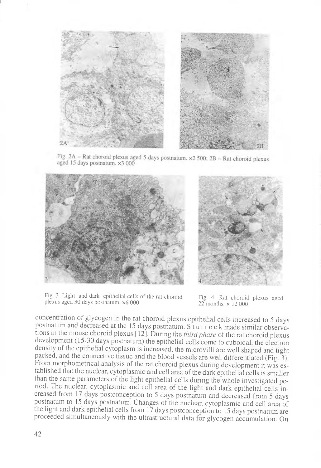

Fig. 2A – Rat choroid plexus aged 5 days postnatum.  $\times$ 2 500; 2B – Rat choroid plexus aged 15 days postnatum. ×3 000





Fig. 3. Light and dark epithelial cells of the rat choroid Fig. 4. Rat choroid plexus aged plexus aged 30 days postnatum. x6 000 22 months. x 12 000

concentiation of glycogen in the rat choroid plexus epithelial cells increased to 5 days postnatum and decreased at the 15 days postnatum. Sturrock made similar observations in the mouse choroid plexus [12]. During the *third phase* of the rat choroid plexus development (15-30 days postnatum) the epithelial cells come to cuboidal, the electron density of the epithelial cytoplasm is increased, the microvilli are well shaped and tight packed, and the connective tissue and the blood vessels are well differentiated (Fig. 3). From morphometrical analysis of the rat choroid plexus during development it was established that the nuclear, cytoplasmic and cell area of the dark epithelial cells is smaller than the same parameters of the light epithelial cells during the whole investigated period. The nuclear, cytoplasmic and cell area of the light and dark epithelial cells increased from 17 days postconception to 5 days postnatum and decreased from 5 days postnatum to 15 days postnatum. Changes of the nuclear, cytoplasmic and cell area of the light and dark epithelial cells from 17 days postconception to 15 days postnatum are proceeded simultaneously with the ultrastructural data for glycogen accumulation. On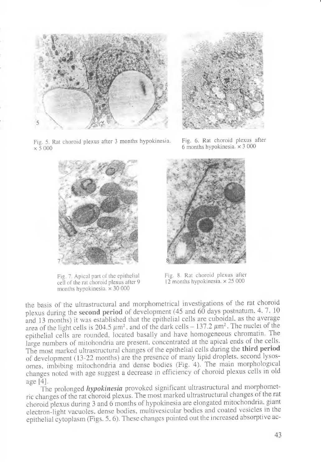



I

Fig. 5. Rat choroid plexus after 3 months hypokinesia,  $\times$  5 000

cell of the rat choroid plexus after 9 months hypokinesia,  $\times$  30 000

Fig. 6. Rat choroid plexus after 6 months hypokinesia,  $\times$  3 000



Fig. 7. Apical part of the epithelial Fig. 8. Rat choroid plexus after cell of the rat choroid plexus after 9 12 months hypokinesia.  $\times$  25 000

the basis of the ultrastructural and morphometrical investigations of the rat choroid plexus during the **second period** of development (45 and 60 days postnatum, 4, 7, 10 and 13 months) it was established that the epithelial cells are cuboidal. as the average area of the light cells is 204.5  $\mu$ m<sup>2</sup>, and of the dark cells - 137.2  $\mu$ m<sup>2</sup>. The nuclei of the epithelial cells are rounded, located basally and have homogeneous chromatin. The large numbers of mitohondria are present, concentrated at the apical ends of the cells. The most marked ultrastructural changes of the epithelial cells during the **third period** of development (13-22 months) are the presence of many lipid droplets, second lysosomes, imbibing mitochondria and dense bodies (Fig. 4). The main morphological changes noted with age suggest a decrease in efficiency of choroid plexus cells in old age [4].

The prolonged *hypokinesia* provoked significant ultrastructural and morphometric changes of the rat choroid plexus. The most marked ultrastructural changes of the rat choroid plexus during 3 and 6 months of hypokinesia are elongated mitochondria, giant electron-light vacuoles, dense bodies, multivesicular bodies and coated vesicles in the epithelial cytoplasm (Figs. 5. 6). These changes pointed out the increased absorptive ac-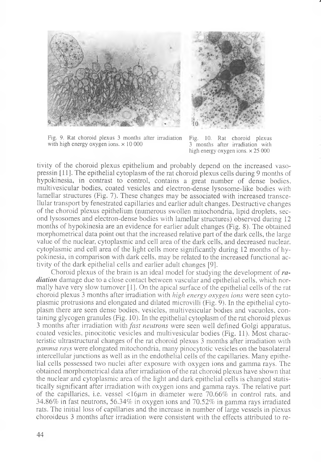



J

Fig. 9. Rat choroid plexus 3 months after irradiation Fig. 10. Rat choroid plexus with high energy oxygen ions.  $\times$  10 000 3 months after irradiation with with high energy oxygen ions,  $\times$  10 000

high energy oxygen ions,  $\times 25000$ 

tivity of the choroid plexus epithelium and probably depend on the increased vasopressin [11]. The epithelial cytoplasm of the rat choroid plexus cells during 9 months of hypokinesia, in contrast to control, contains a great number of dense bodies, multivesicular bodies, coated vesicles and electron-dense lysosome-like bodies with lamellar structures (Fig. 7). These changes may be associated with increased transcellular transport by fenestrated capillaries and earlier adult changes. Destructive changes of the choroid plexus epithelium (numerous swollen mitochondria, lipid droplets, second lysosomes and electron-dense bodies with lamellar structures) observed during 12 months of hypokinesia are an evidence for earlier adult changes (Fig. 8). The obtained morphometrical data point out that the increased relative part of the dark cells, the large value of the nuclear, cytoplasmic and cell area of the dark cells, and decreased nuclear, cytoplasmic and cell area of the light cells more significantly during 12 months of hypokinesia, in comparison with dark cells, may be related to the increased functional activity of the dark epithelial cells and earlier adult changes [9].

Choroid plexus of the brain is an ideal model for studying the development of *radiation* damage due to a close contact between vascular and epithelial cells, which normally have very slow turnover [1]. On the apical surface of the epithelial cells of the rat choroid plexus 3 months after irradiation with *high energy oxygen ions* were seen cytoplasmic protrusions and elongated and dilated microvilli (Fig. 9). In the epithelial cytoplasm there are seen dense bodies, vesicles, multivesicular bodies and vacuoles, containing glycogen granules (Fig. 10). In the epithelial cytoplasm of the rat choroid plexus 3 months after irradiation with *fast neutrons* were seen well defined Golgi apparatus, coated vesicles, pinocitotic vesicles and multivesicular bodies (Fig. 11). Most characteristic ultrastructural changes of the rat choroid plexus 3 months after irradiation with *gamma rays* were elongated mitochondria, many pinocytotic vesicles on the basolateral intercellular junctions as well as in the endothelial cells of the capillaries. Many epithelial cells possessed two nuclei after exposure with oxygen ions and gamma rays. The obtained morphometrical data after irradiation of the rat choroid plexus have shown that the nuclear and cytoplasmic area of the light and dark epithelial cells is changed statistically significant after irradiation with oxygen ions and gamma rays. The relative part of the capillaries, i.e. vessel  $\langle 16 \mu m \rangle$  in diameter were 70.66% in control rats, and 34.86% in fast neutrons, 56.34% in oxygen ions and 70.52% in gamma rays irradiated rats. The initial loss of capillaries and the increase in number of large vessels in plexus choroideus 3 months after irradiation were consistent with the effects attributed to re-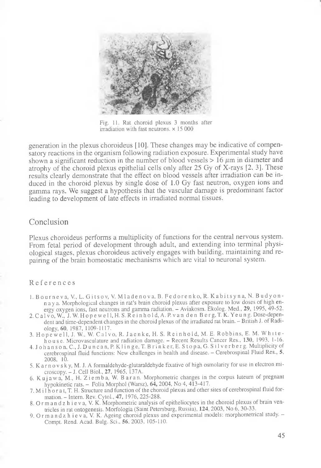

Fig. 11. Rat choroid plexus 3 months after irradiation with fast neutrons,  $\times$  15 000

generation in the plexus choroideus [10]. These changes may be indicative of compensatory reactions in the organism following radiation exposure. Experimental study have shown a significant reduction in the number of blood vessels  $> 16 \mu m$  in diameter and atrophy of the choroid plexus epithelial cells only after 25 Gy of X-rays [2, 3]. These results clearly demonstrate that the effect on blood vessels after irradiation can be induced in the choroid plexus by single dose of 1.0 Gy fast neutron, oxygen ions and gamma rays. We suggest a hypothesis that the vascular damage is predominant factor leading to development of late effects in irradiated normal tissues.

#### Conclusion

Plexus choroideus performs a multiplicity of functions for the central nervous system. From fetal period of development through adult, and extending into terminal physiological stages, plexus choroideus actively engages with building, maintaining and repairing of the brain homeostatic mechanisms which are vital to neuronal system.

#### References

- 1. B o u r n e v a, V., L. G i t s o v, V. M l a d e n o v a, B. F e d o r e n k o, R. K a b i t s y n a, N. B u d y o n n a y a. Morphological changes in rat's brain choroid plexus after exposure to low doses of high energy oxygen ions, fast neutrons and gamma radiation. - Aviakosm. Ekolog. Med., **29,** 1995, 49-52.
- 2. C a l vo, W., J. W. H o p e w e l l, H. S. R e i n h o l d, A. P. v a n d e n B e r g, T. K. Y e u n g. Dose-dependent and time-dependent changes in the choroid plexus of the irradiated rat brain. - British J. of Radiology, **60,** 1987, 1109-1117.
- 3. Hopewell, J. W., W. Calvo, R. Jaenke, H. S. Reinhold, M. E. Robbins, E. M. Whitehouse. Microvasculature and radiation damage. - Recent Results Cancer Res., **130,** 1993, 1-16.
- 4. Johanson, C., J. Duncan, P. Klinge, T. Brinker, E. Stopa, G. Silverberg. Multiplicity of cerebrospinal fluid functions: New challenges in health and disease. - Cerebrospinal Fluid Res., 5, 2008, 10.
- 5. K a r n o v s k у, M. **J.** A formaldehyde-glutaraldehyde fixative of high osmolarity for use in electron microscopy. - J. Cell Biol., 27, 1965, 137A.
- 6. Kujawa, M., H. Ziemba, W. Baran. Morphometric changes in the corpus luteum of pregnant hypokinetic rats. - Folia Morphol (Warsz),  $64$ , 2004, No 4, 413-417.
- 7. M i l h o r a t, T. H. Structure and function of the choroid plexus and other sites of cerebrospinal fluid formation. - Intern. Rev. Cytol., 47, 1976, 225-288.
- 8. O r m a n d z h i e v a, V. K. Morphometric analysis of epitheliocytes in the choroid plexus of brain ventricles in rat ontogenesis. Morfologia (Saint Petersburg, Russia), **124,** 2003, No 6, 30-33.
- 9. Or m a n d z h i e v a, V. K. Ageing choroid plexus and experimental models: morphometrical study. -Compt. Rend. Acad. Bulg. Sci., 56, 2003, 105-110.